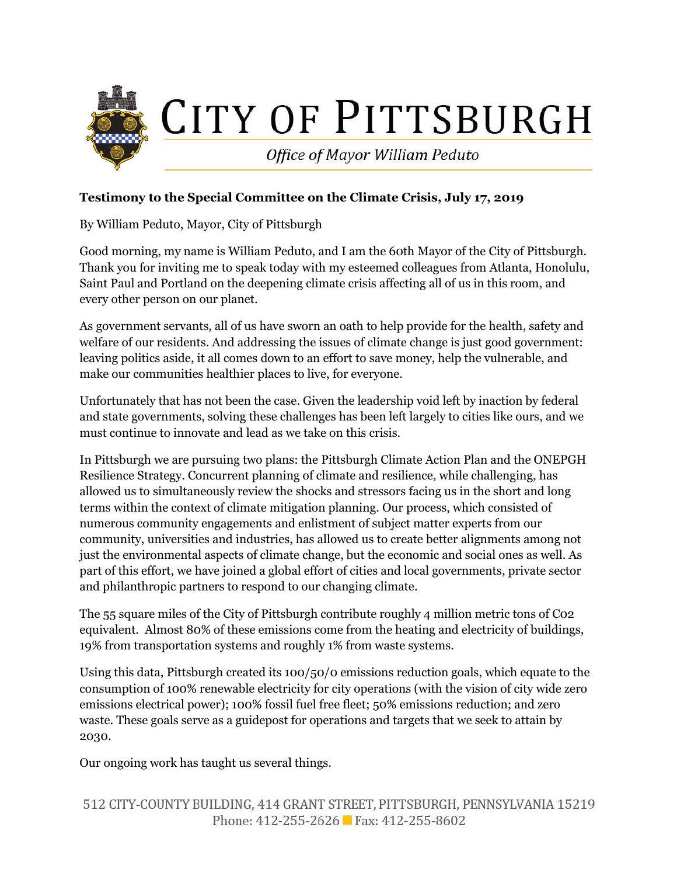

## **Testimony to the Special Committee on the Climate Crisis, July 17, 2019**

By William Peduto, Mayor, City of Pittsburgh

Good morning, my name is William Peduto, and I am the 60th Mayor of the City of Pittsburgh. Thank you for inviting me to speak today with my esteemed colleagues from Atlanta, Honolulu, Saint Paul and Portland on the deepening climate crisis affecting all of us in this room, and every other person on our planet.

As government servants, all of us have sworn an oath to help provide for the health, safety and welfare of our residents. And addressing the issues of climate change is just good government: leaving politics aside, it all comes down to an effort to save money, help the vulnerable, and make our communities healthier places to live, for everyone.

Unfortunately that has not been the case. Given the leadership void left by inaction by federal and state governments, solving these challenges has been left largely to cities like ours, and we must continue to innovate and lead as we take on this crisis.

In Pittsburgh we are pursuing two plans: the Pittsburgh Climate Action Plan and the ONEPGH Resilience Strategy. Concurrent planning of climate and resilience, while challenging, has allowed us to simultaneously review the shocks and stressors facing us in the short and long terms within the context of climate mitigation planning. Our process, which consisted of numerous community engagements and enlistment of subject matter experts from our community, universities and industries, has allowed us to create better alignments among not just the environmental aspects of climate change, but the economic and social ones as well. As part of this effort, we have joined a global effort of cities and local governments, private sector and philanthropic partners to respond to our changing climate.

The 55 square miles of the City of Pittsburgh contribute roughly 4 million metric tons of C02 equivalent. Almost 80% of these emissions come from the heating and electricity of buildings, 19% from transportation systems and roughly 1% from waste systems.

Using this data, Pittsburgh created its 100/50/0 emissions reduction goals, which equate to the consumption of 100% renewable electricity for city operations (with the vision of city wide zero emissions electrical power); 100% fossil fuel free fleet; 50% emissions reduction; and zero waste. These goals serve as a guidepost for operations and targets that we seek to attain by 2030.

Our ongoing work has taught us several things.